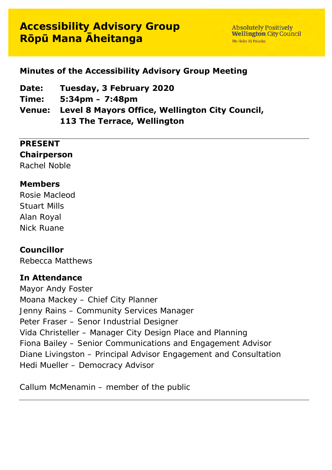# **Accessibility Advisory Group Rōpū Mana Āheitanga**

**Absolutely Positively Wellington City Council** Me Heke Ki Pôneke

# **Minutes of the Accessibility Advisory Group Meeting**

**Date: Tuesday, 3 February 2020**

**Time: 5:34pm – 7:48pm**

**Venue: Level 8 Mayors Office, Wellington City Council, 113 The Terrace, Wellington**

#### **PRESENT**

#### **Chairperson**

Rachel Noble

#### **Members**

Rosie Macleod Stuart Mills Alan Royal Nick Ruane

#### **Councillor**

Rebecca Matthews

### **In Attendance**

Mayor Andy Foster Moana Mackey – Chief City Planner Jenny Rains – Community Services Manager Peter Fraser – Senor Industrial Designer Vida Christeller – Manager City Design Place and Planning Fiona Bailey – Senior Communications and Engagement Advisor Diane Livingston – Principal Advisor Engagement and Consultation Hedi Mueller – Democracy Advisor

Callum McMenamin – member of the public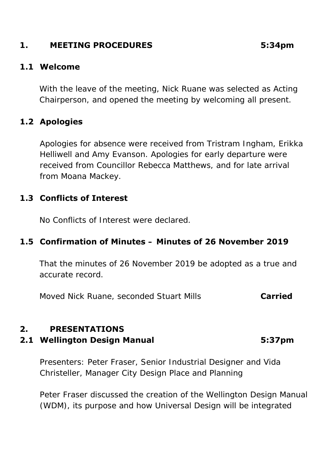# **1. MEETING PROCEDURES 5:34pm**

#### **1.1 Welcome**

With the leave of the meeting, Nick Ruane was selected as Acting Chairperson, and opened the meeting by welcoming all present.

## **1.2 Apologies**

Apologies for absence were received from Tristram Ingham, Erikka Helliwell and Amy Evanson. Apologies for early departure were received from Councillor Rebecca Matthews, and for late arrival from Moana Mackey.

#### **1.3 Conflicts of Interest**

No Conflicts of Interest were declared.

### **1.5 Confirmation of Minutes – Minutes of 26 November 2019**

That the minutes of 26 November 2019 be adopted as a true and accurate record.

Moved Nick Ruane, seconded Stuart Mills **Carried**

### **2. PRESENTATIONS**

#### **2.1 Wellington Design Manual 5:37pm**

Presenters: Peter Fraser, Senior Industrial Designer and Vida Christeller, Manager City Design Place and Planning

Peter Fraser discussed the creation of the Wellington Design Manual (WDM), its purpose and how Universal Design will be integrated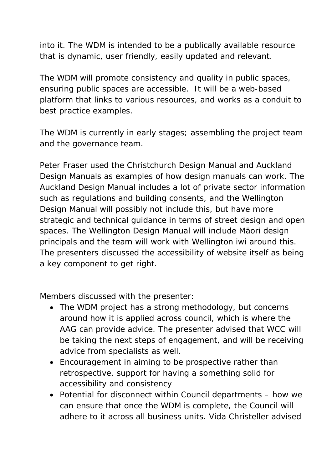into it. The WDM is intended to be a publically available resource that is dynamic, user friendly, easily updated and relevant.

The WDM will promote consistency and quality in public spaces, ensuring public spaces are accessible. It will be a web-based platform that links to various resources, and works as a conduit to best practice examples.

The WDM is currently in early stages; assembling the project team and the governance team.

Peter Fraser used the Christchurch Design Manual and Auckland Design Manuals as examples of how design manuals can work. The Auckland Design Manual includes a lot of private sector information such as regulations and building consents, and the Wellington Design Manual will possibly not include this, but have more strategic and technical guidance in terms of street design and open spaces. The Wellington Design Manual will include Māori design principals and the team will work with Wellington iwi around this. The presenters discussed the accessibility of website itself as being a key component to get right.

Members discussed with the presenter:

- The WDM project has a strong methodology, but concerns around how it is applied across council, which is where the AAG can provide advice. The presenter advised that WCC will be taking the next steps of engagement, and will be receiving advice from specialists as well.
- Encouragement in aiming to be prospective rather than retrospective, support for having a something solid for accessibility and consistency
- Potential for disconnect within Council departments how we can ensure that once the WDM is complete, the Council will adhere to it across all business units. Vida Christeller advised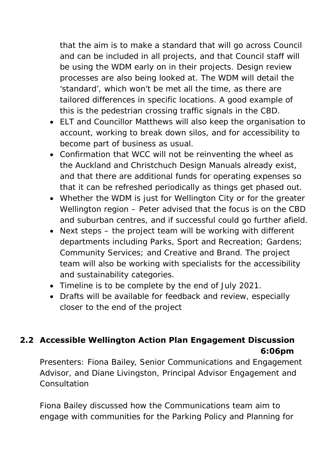that the aim is to make a standard that will go across Council and can be included in all projects, and that Council staff will be using the WDM early on in their projects. Design review processes are also being looked at. The WDM will detail the 'standard', which won't be met all the time, as there are tailored differences in specific locations. A good example of this is the pedestrian crossing traffic signals in the CBD.

- ELT and Councillor Matthews will also keep the organisation to account, working to break down silos, and for accessibility to become part of business as usual.
- Confirmation that WCC will not be reinventing the wheel as the Auckland and Christchuch Design Manuals already exist, and that there are additional funds for operating expenses so that it can be refreshed periodically as things get phased out.
- Whether the WDM is just for Wellington City or for the greater Wellington region – Peter advised that the focus is on the CBD and suburban centres, and if successful could go further afield.
- Next steps the project team will be working with different departments including Parks, Sport and Recreation; Gardens; Community Services; and Creative and Brand. The project team will also be working with specialists for the accessibility and sustainability categories.
- Timeline is to be complete by the end of July 2021.
- Drafts will be available for feedback and review, especially closer to the end of the project

# **2.2 Accessible Wellington Action Plan Engagement Discussion 6:06pm**

Presenters: Fiona Bailey, Senior Communications and Engagement Advisor, and Diane Livingston, Principal Advisor Engagement and Consultation

Fiona Bailey discussed how the Communications team aim to engage with communities for the Parking Policy and Planning for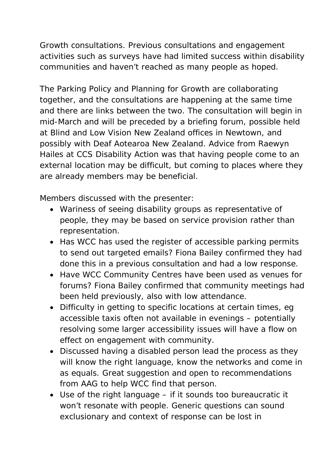Growth consultations. Previous consultations and engagement activities such as surveys have had limited success within disability communities and haven't reached as many people as hoped.

The Parking Policy and Planning for Growth are collaborating together, and the consultations are happening at the same time and there are links between the two. The consultation will begin in mid-March and will be preceded by a briefing forum, possible held at Blind and Low Vision New Zealand offices in Newtown, and possibly with Deaf Aotearoa New Zealand. Advice from Raewyn Hailes at CCS Disability Action was that having people come to an external location may be difficult, but coming to places where they are already members may be beneficial.

Members discussed with the presenter:

- Wariness of seeing disability groups as representative of people, they may be based on service provision rather than representation.
- Has WCC has used the register of accessible parking permits to send out targeted emails? Fiona Bailey confirmed they had done this in a previous consultation and had a low response.
- Have WCC Community Centres have been used as venues for forums? Fiona Bailey confirmed that community meetings had been held previously, also with low attendance.
- Difficulty in getting to specific locations at certain times, eg accessible taxis often not available in evenings – potentially resolving some larger accessibility issues will have a flow on effect on engagement with community.
- Discussed having a disabled person lead the process as they will know the right language, know the networks and come in as equals. Great suggestion and open to recommendations from AAG to help WCC find that person.
- Use of the right language if it sounds too bureaucratic it won't resonate with people. Generic questions can sound exclusionary and context of response can be lost in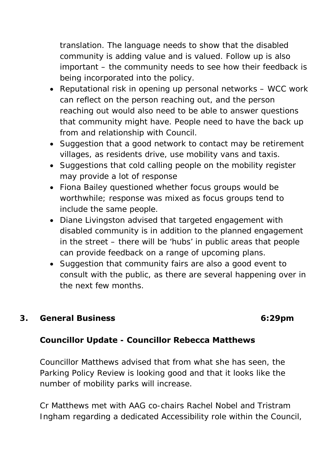translation. The language needs to show that the disabled community is adding value and is valued. Follow up is also important – the community needs to see how their feedback is being incorporated into the policy.

- Reputational risk in opening up personal networks WCC work can reflect on the person reaching out, and the person reaching out would also need to be able to answer questions that community might have. People need to have the back up from and relationship with Council.
- Suggestion that a good network to contact may be retirement villages, as residents drive, use mobility vans and taxis.
- Suggestions that cold calling people on the mobility register may provide a lot of response
- Fiona Bailey questioned whether focus groups would be worthwhile; response was mixed as focus groups tend to include the same people.
- Diane Livingston advised that targeted engagement with disabled community is in addition to the planned engagement in the street – there will be 'hubs' in public areas that people can provide feedback on a range of upcoming plans.
- Suggestion that community fairs are also a good event to consult with the public, as there are several happening over in the next few months.

### **3. General Business 6:29pm**

# **Councillor Update - Councillor Rebecca Matthews**

Councillor Matthews advised that from what she has seen, the Parking Policy Review is looking good and that it looks like the number of mobility parks will increase.

Cr Matthews met with AAG co-chairs Rachel Nobel and Tristram Ingham regarding a dedicated Accessibility role within the Council,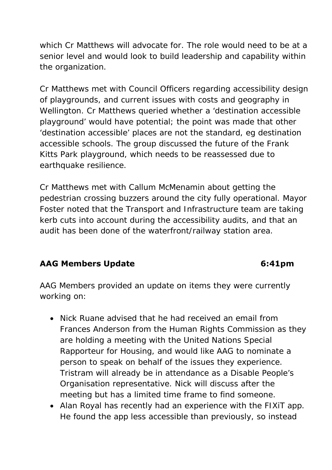which Cr Matthews will advocate for. The role would need to be at a senior level and would look to build leadership and capability within the organization.

Cr Matthews met with Council Officers regarding accessibility design of playgrounds, and current issues with costs and geography in Wellington. Cr Matthews queried whether a 'destination accessible playground' would have potential; the point was made that other 'destination accessible' places are not the standard, eg destination accessible schools. The group discussed the future of the Frank Kitts Park playground, which needs to be reassessed due to earthquake resilience.

Cr Matthews met with Callum McMenamin about getting the pedestrian crossing buzzers around the city fully operational. Mayor Foster noted that the Transport and Infrastructure team are taking kerb cuts into account during the accessibility audits, and that an audit has been done of the waterfront/railway station area.

# AAG Members Update **6:41pm**

AAG Members provided an update on items they were currently working on:

- Nick Ruane advised that he had received an email from Frances Anderson from the Human Rights Commission as they are holding a meeting with the United Nations Special Rapporteur for Housing, and would like AAG to nominate a person to speak on behalf of the issues they experience. Tristram will already be in attendance as a Disable People's Organisation representative. Nick will discuss after the meeting but has a limited time frame to find someone.
- Alan Royal has recently had an experience with the FIXiT app. He found the app less accessible than previously, so instead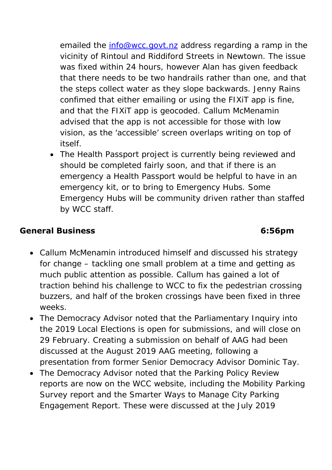emailed the [info@wcc.govt.nz](mailto:info@wcc.govt.nz) address regarding a ramp in the vicinity of Rintoul and Riddiford Streets in Newtown. The issue was fixed within 24 hours, however Alan has given feedback that there needs to be two handrails rather than one, and that the steps collect water as they slope backwards. Jenny Rains confimed that either emailing or using the FIXiT app is fine, and that the FIXiT app is geocoded. Callum McMenamin advised that the app is not accessible for those with low vision, as the 'accessible' screen overlaps writing on top of itself.

• The Health Passport project is currently being reviewed and should be completed fairly soon, and that if there is an emergency a Health Passport would be helpful to have in an emergency kit, or to bring to Emergency Hubs. Some Emergency Hubs will be community driven rather than staffed by WCC staff.

# **General Business 6:56pm**

- Callum McMenamin introduced himself and discussed his strategy for change – tackling one small problem at a time and getting as much public attention as possible. Callum has gained a lot of traction behind his challenge to WCC to fix the pedestrian crossing buzzers, and half of the broken crossings have been fixed in three weeks.
- The Democracy Advisor noted that the Parliamentary Inquiry into the 2019 Local Elections is open for submissions, and will close on 29 February. Creating a submission on behalf of AAG had been discussed at the August 2019 AAG meeting, following a presentation from former Senior Democracy Advisor Dominic Tay.
- The Democracy Advisor noted that the Parking Policy Review reports are now on the WCC website, including the Mobility Parking Survey report and the Smarter Ways to Manage City Parking Engagement Report. These were discussed at the July 2019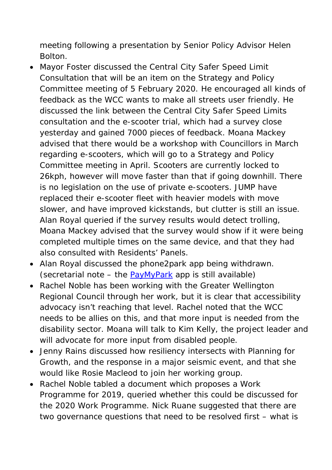meeting following a presentation by Senior Policy Advisor Helen Bolton.

- Mayor Foster discussed the Central City Safer Speed Limit Consultation that will be an item on the Strategy and Policy Committee meeting of 5 February 2020. He encouraged all kinds of feedback as the WCC wants to make all streets user friendly. He discussed the link between the Central City Safer Speed Limits consultation and the e-scooter trial, which had a survey close yesterday and gained 7000 pieces of feedback. Moana Mackey advised that there would be a workshop with Councillors in March regarding e-scooters, which will go to a Strategy and Policy Committee meeting in April. Scooters are currently locked to 26kph, however will move faster than that if going downhill. There is no legislation on the use of private e-scooters. JUMP have replaced their e-scooter fleet with heavier models with move slower, and have improved kickstands, but clutter is still an issue. Alan Royal queried if the survey results would detect trolling, Moana Mackey advised that the survey would show if it were being completed multiple times on the same device, and that they had also consulted with Residents' Panels.
- Alan Royal discussed the phone2park app being withdrawn. *(secretarial note – the [PayMyPark](https://wellington.govt.nz/services/parking-and-roads/parking/central-city-street-parking/paymypark-smartphone-app) app is still available)*
- Rachel Noble has been working with the Greater Wellington Regional Council through her work, but it is clear that accessibility advocacy isn't reaching that level. Rachel noted that the WCC needs to be allies on this, and that more input is needed from the disability sector. Moana will talk to Kim Kelly, the project leader and will advocate for more input from disabled people.
- Jenny Rains discussed how resiliency intersects with Planning for Growth, and the response in a major seismic event, and that she would like Rosie Macleod to join her working group.
- Rachel Noble tabled a document which proposes a Work Programme for 2019, queried whether this could be discussed for the 2020 Work Programme. Nick Ruane suggested that there are two governance questions that need to be resolved first – what is